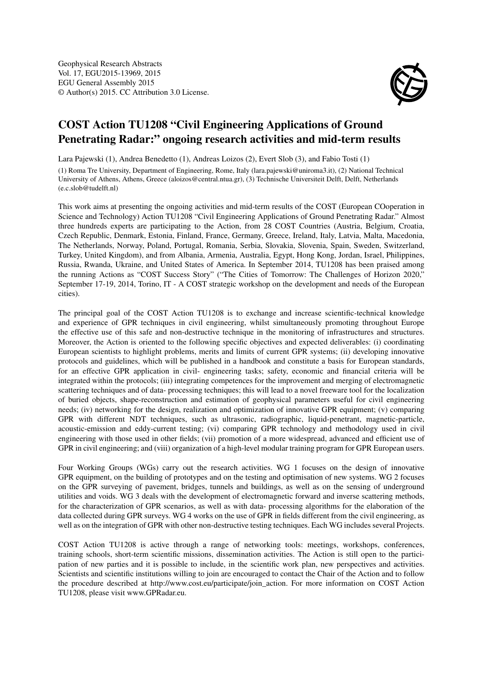

## COST Action TU1208 "Civil Engineering Applications of Ground Penetrating Radar:" ongoing research activities and mid-term results

Lara Pajewski (1), Andrea Benedetto (1), Andreas Loizos (2), Evert Slob (3), and Fabio Tosti (1)

(1) Roma Tre University, Department of Engineering, Rome, Italy (lara.pajewski@uniroma3.it), (2) National Technical University of Athens, Athens, Greece (aloizos@central.ntua.gr), (3) Technische Universiteit Delft, Delft, Netherlands (e.c.slob@tudelft.nl)

This work aims at presenting the ongoing activities and mid-term results of the COST (European COoperation in Science and Technology) Action TU1208 "Civil Engineering Applications of Ground Penetrating Radar." Almost three hundreds experts are participating to the Action, from 28 COST Countries (Austria, Belgium, Croatia, Czech Republic, Denmark, Estonia, Finland, France, Germany, Greece, Ireland, Italy, Latvia, Malta, Macedonia, The Netherlands, Norway, Poland, Portugal, Romania, Serbia, Slovakia, Slovenia, Spain, Sweden, Switzerland, Turkey, United Kingdom), and from Albania, Armenia, Australia, Egypt, Hong Kong, Jordan, Israel, Philippines, Russia, Rwanda, Ukraine, and United States of America. In September 2014, TU1208 has been praised among the running Actions as "COST Success Story" ("The Cities of Tomorrow: The Challenges of Horizon 2020," September 17-19, 2014, Torino, IT - A COST strategic workshop on the development and needs of the European cities).

The principal goal of the COST Action TU1208 is to exchange and increase scientific-technical knowledge and experience of GPR techniques in civil engineering, whilst simultaneously promoting throughout Europe the effective use of this safe and non-destructive technique in the monitoring of infrastructures and structures. Moreover, the Action is oriented to the following specific objectives and expected deliverables: (i) coordinating European scientists to highlight problems, merits and limits of current GPR systems; (ii) developing innovative protocols and guidelines, which will be published in a handbook and constitute a basis for European standards, for an effective GPR application in civil- engineering tasks; safety, economic and financial criteria will be integrated within the protocols; (iii) integrating competences for the improvement and merging of electromagnetic scattering techniques and of data- processing techniques; this will lead to a novel freeware tool for the localization of buried objects, shape-reconstruction and estimation of geophysical parameters useful for civil engineering needs; (iv) networking for the design, realization and optimization of innovative GPR equipment; (v) comparing GPR with different NDT techniques, such as ultrasonic, radiographic, liquid-penetrant, magnetic-particle, acoustic-emission and eddy-current testing; (vi) comparing GPR technology and methodology used in civil engineering with those used in other fields; (vii) promotion of a more widespread, advanced and efficient use of GPR in civil engineering; and (viii) organization of a high-level modular training program for GPR European users.

Four Working Groups (WGs) carry out the research activities. WG 1 focuses on the design of innovative GPR equipment, on the building of prototypes and on the testing and optimisation of new systems. WG 2 focuses on the GPR surveying of pavement, bridges, tunnels and buildings, as well as on the sensing of underground utilities and voids. WG 3 deals with the development of electromagnetic forward and inverse scattering methods, for the characterization of GPR scenarios, as well as with data- processing algorithms for the elaboration of the data collected during GPR surveys. WG 4 works on the use of GPR in fields different from the civil engineering, as well as on the integration of GPR with other non-destructive testing techniques. Each WG includes several Projects.

COST Action TU1208 is active through a range of networking tools: meetings, workshops, conferences, training schools, short-term scientific missions, dissemination activities. The Action is still open to the participation of new parties and it is possible to include, in the scientific work plan, new perspectives and activities. Scientists and scientific institutions willing to join are encouraged to contact the Chair of the Action and to follow the procedure described at http://www.cost.eu/participate/join\_action. For more information on COST Action TU1208, please visit www.GPRadar.eu.